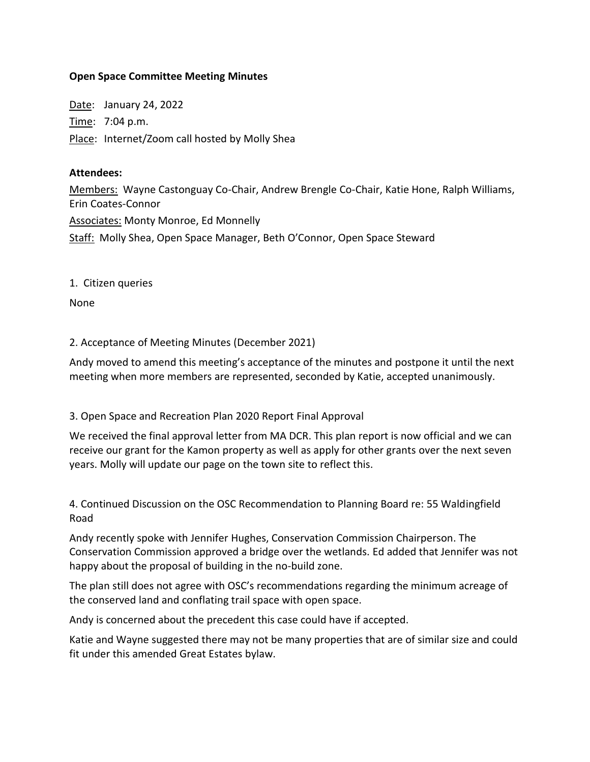### **Open Space Committee Meeting Minutes**

Date: January 24, 2022 Time: 7:04 p.m. Place: Internet/Zoom call hosted by Molly Shea

#### **Attendees:**

Members: Wayne Castonguay Co-Chair, Andrew Brengle Co-Chair, Katie Hone, Ralph Williams, Erin Coates-Connor Associates: Monty Monroe, Ed Monnelly Staff: Molly Shea, Open Space Manager, Beth O'Connor, Open Space Steward

1. Citizen queries

None

2. Acceptance of Meeting Minutes (December 2021)

Andy moved to amend this meeting's acceptance of the minutes and postpone it until the next meeting when more members are represented, seconded by Katie, accepted unanimously.

3. Open Space and Recreation Plan 2020 Report Final Approval

We received the final approval letter from MA DCR. This plan report is now official and we can receive our grant for the Kamon property as well as apply for other grants over the next seven years. Molly will update our page on the town site to reflect this.

4. Continued Discussion on the OSC Recommendation to Planning Board re: 55 Waldingfield Road

Andy recently spoke with Jennifer Hughes, Conservation Commission Chairperson. The Conservation Commission approved a bridge over the wetlands. Ed added that Jennifer was not happy about the proposal of building in the no-build zone.

The plan still does not agree with OSC's recommendations regarding the minimum acreage of the conserved land and conflating trail space with open space.

Andy is concerned about the precedent this case could have if accepted.

Katie and Wayne suggested there may not be many properties that are of similar size and could fit under this amended Great Estates bylaw.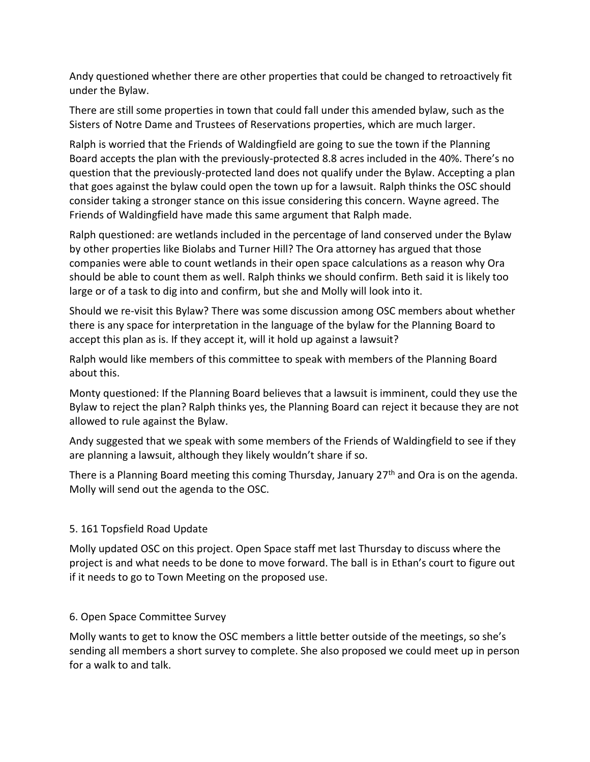Andy questioned whether there are other properties that could be changed to retroactively fit under the Bylaw.

There are still some properties in town that could fall under this amended bylaw, such as the Sisters of Notre Dame and Trustees of Reservations properties, which are much larger.

Ralph is worried that the Friends of Waldingfield are going to sue the town if the Planning Board accepts the plan with the previously-protected 8.8 acres included in the 40%. There's no question that the previously-protected land does not qualify under the Bylaw. Accepting a plan that goes against the bylaw could open the town up for a lawsuit. Ralph thinks the OSC should consider taking a stronger stance on this issue considering this concern. Wayne agreed. The Friends of Waldingfield have made this same argument that Ralph made.

Ralph questioned: are wetlands included in the percentage of land conserved under the Bylaw by other properties like Biolabs and Turner Hill? The Ora attorney has argued that those companies were able to count wetlands in their open space calculations as a reason why Ora should be able to count them as well. Ralph thinks we should confirm. Beth said it is likely too large or of a task to dig into and confirm, but she and Molly will look into it.

Should we re-visit this Bylaw? There was some discussion among OSC members about whether there is any space for interpretation in the language of the bylaw for the Planning Board to accept this plan as is. If they accept it, will it hold up against a lawsuit?

Ralph would like members of this committee to speak with members of the Planning Board about this.

Monty questioned: If the Planning Board believes that a lawsuit is imminent, could they use the Bylaw to reject the plan? Ralph thinks yes, the Planning Board can reject it because they are not allowed to rule against the Bylaw.

Andy suggested that we speak with some members of the Friends of Waldingfield to see if they are planning a lawsuit, although they likely wouldn't share if so.

There is a Planning Board meeting this coming Thursday, January 27<sup>th</sup> and Ora is on the agenda. Molly will send out the agenda to the OSC.

# 5. 161 Topsfield Road Update

Molly updated OSC on this project. Open Space staff met last Thursday to discuss where the project is and what needs to be done to move forward. The ball is in Ethan's court to figure out if it needs to go to Town Meeting on the proposed use.

## 6. Open Space Committee Survey

Molly wants to get to know the OSC members a little better outside of the meetings, so she's sending all members a short survey to complete. She also proposed we could meet up in person for a walk to and talk.